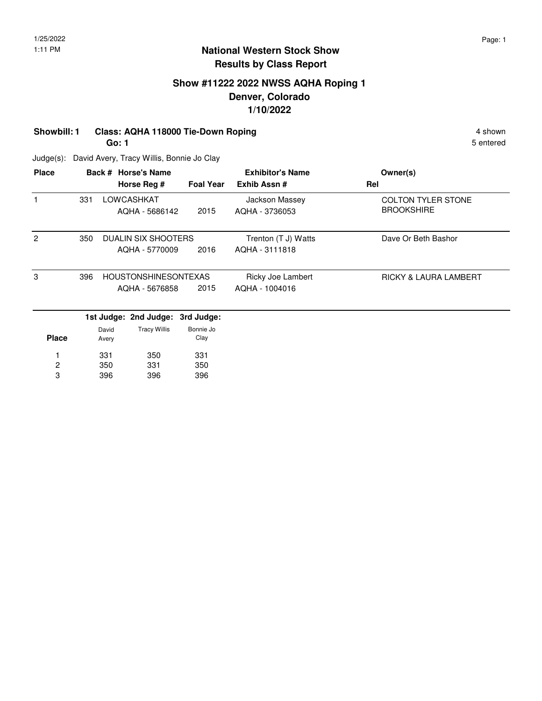## **Show #11222 2022 NWSS AQHA Roping 1 Denver, Colorado 1/10/2022**

# **Showbill: 1 Class: AQHA 118000 Tie-Down Roping 4 shown 4 shown 4 shown**

**Go: 1**

5 entered

Judge(s): David Avery, Tracy Willis, Bonnie Jo Clay

| <b>Place</b> |     |       | Back # Horse's Name         |                  | <b>Exhibitor's Name</b> | Owner(s)                         |
|--------------|-----|-------|-----------------------------|------------------|-------------------------|----------------------------------|
|              |     |       | Horse Reg #                 | <b>Foal Year</b> | Exhib Assn#             | Rel                              |
|              | 331 |       | LOWCASHKAT                  |                  | Jackson Massey          | <b>COLTON TYLER STONE</b>        |
|              |     |       | AQHA - 5686142              | 2015             | AQHA - 3736053          | <b>BROOKSHIRE</b>                |
| 2            | 350 |       | DUALIN SIX SHOOTERS         |                  | Trenton (T J) Watts     | Dave Or Beth Bashor              |
|              |     |       | AQHA - 5770009              | 2016             | AQHA - 3111818          |                                  |
| 3            | 396 |       | <b>HOUSTONSHINESONTEXAS</b> |                  | Ricky Joe Lambert       | <b>RICKY &amp; LAURA LAMBERT</b> |
|              |     |       | AQHA - 5676858              | 2015             | AQHA - 1004016          |                                  |
|              |     |       | 1st Judge: 2nd Judge:       | 3rd Judge:       |                         |                                  |
|              |     | David | <b>Tracy Willis</b>         | Bonnie Jo        |                         |                                  |
| <b>Place</b> |     | Avery |                             | Clay             |                         |                                  |
|              |     | 331   | 350                         | 331              |                         |                                  |
| 2            |     | 350   | 331                         | 350              |                         |                                  |
| 3            |     | 396   | 396                         | 396              |                         |                                  |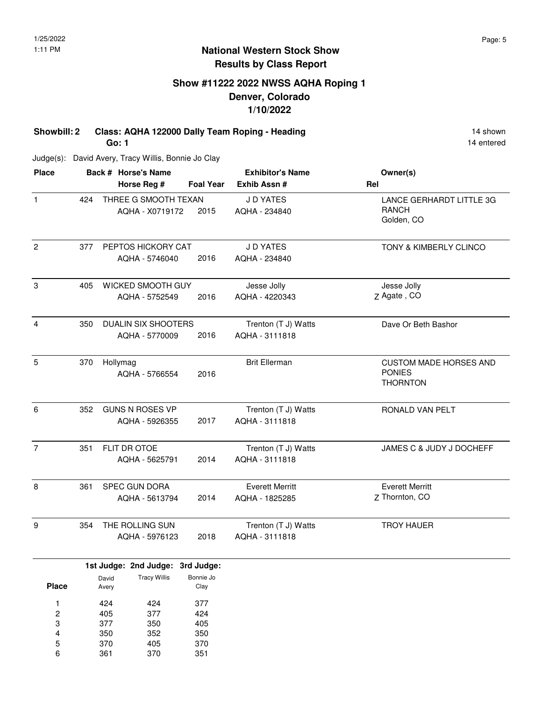## **Show #11222 2022 NWSS AQHA Roping 1 Denver, Colorado 1/10/2022**

**Showbill: 2 Class: AQHA 122000 Dally Team Roping - Heading 14 Shown 14 shown Go: 1**

Judge(s): David Avery, Tracy Willis, Bonnie Jo Clay

| $\mathbf{1}$   | 424 |                                              | <b>Foal Year</b> | Exhib Assn #                             | Rel                                                               |
|----------------|-----|----------------------------------------------|------------------|------------------------------------------|-------------------------------------------------------------------|
|                |     | THREE G SMOOTH TEXAN<br>AQHA - X0719172      | 2015             | J D YATES<br>AQHA - 234840               | LANCE GERHARDT LITTLE 3G<br><b>RANCH</b><br>Golden, CO            |
| $\overline{2}$ | 377 | PEPTOS HICKORY CAT<br>AQHA - 5746040         | 2016             | J D YATES<br>AQHA - 234840               | TONY & KIMBERLY CLINCO                                            |
| $\,3$          | 405 | WICKED SMOOTH GUY<br>AQHA - 5752549          | 2016             | Jesse Jolly<br>AQHA - 4220343            | Jesse Jolly<br>Z Agate, CO                                        |
| $\overline{4}$ | 350 | <b>DUALIN SIX SHOOTERS</b><br>AQHA - 5770009 | 2016             | Trenton (T J) Watts<br>AQHA - 3111818    | Dave Or Beth Bashor                                               |
| 5              | 370 | Hollymag<br>AQHA - 5766554                   | 2016             | <b>Brit Ellerman</b>                     | <b>CUSTOM MADE HORSES AND</b><br><b>PONIES</b><br><b>THORNTON</b> |
| $6\phantom{a}$ | 352 | <b>GUNS N ROSES VP</b><br>AQHA - 5926355     | 2017             | Trenton (T J) Watts<br>AQHA - 3111818    | RONALD VAN PELT                                                   |
| $\overline{7}$ | 351 | FLIT DR OTOE<br>AQHA - 5625791               | 2014             | Trenton (T J) Watts<br>AQHA - 3111818    | JAMES C & JUDY J DOCHEFF                                          |
| 8              | 361 | <b>SPEC GUN DORA</b><br>AQHA - 5613794       | 2014             | <b>Everett Merritt</b><br>AQHA - 1825285 | <b>Everett Merritt</b><br>Z Thornton, CO                          |
| 9              | 354 | THE ROLLING SUN<br>AQHA - 5976123            | 2018             | Trenton (T J) Watts<br>AQHA - 3111818    | <b>TROY HAUER</b>                                                 |

|              |       | 1st Judge: 2nd Judge: 3rd Judge: |           |
|--------------|-------|----------------------------------|-----------|
|              | David | <b>Tracy Willis</b>              | Bonnie Jo |
| <b>Place</b> | Avery |                                  | Clay      |
|              |       |                                  |           |
| 1            | 424   | 424                              | 377       |
| 2            | 405   | 377                              | 424       |
| 3            | 377   | 350                              | 405       |
| 4            | 350   | 352                              | 350       |
| 5            | 370   | 405                              | 370       |
| 6            | 361   | 370                              | 351       |

14 entered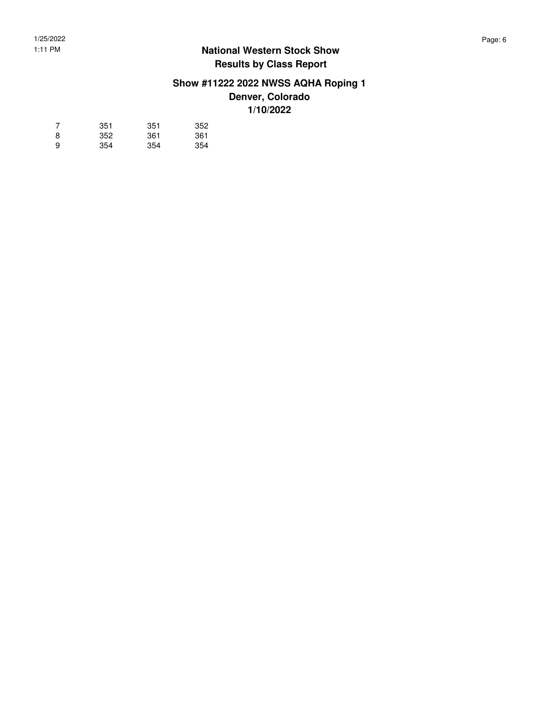# **Show #11222 2022 NWSS AQHA Roping 1 Denver, Colorado**

**1/10/2022**

| 7 | 351 | 351 | 352 |
|---|-----|-----|-----|
| 8 | 352 | 361 | 361 |
| 9 | 354 | 354 | 354 |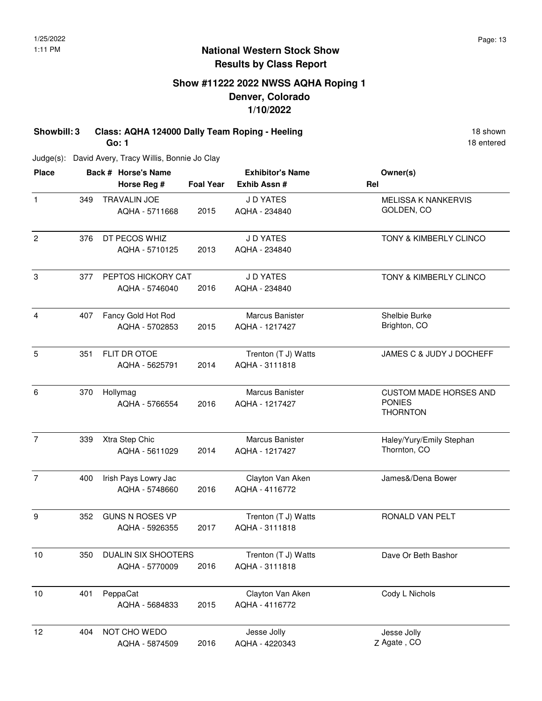18 entered

#### **National Western Stock Show Results by Class Report**

# **Show #11222 2022 NWSS AQHA Roping 1 Denver, Colorado 1/10/2022**

**Showbill: 3 Class: AQHA 124000 Dally Team Roping - Heeling 18 Shown 18 shown Go: 1**

Judge(s): David Avery, Tracy Willis, Bonnie Jo Clay

| <b>Place</b>   |     | Back # Horse's Name    |                  | <b>Exhibitor's Name</b> | Owner(s)                         |  |
|----------------|-----|------------------------|------------------|-------------------------|----------------------------------|--|
|                |     | Horse Reg #            | <b>Foal Year</b> | Exhib Assn #            | Rel                              |  |
| $\mathbf{1}$   | 349 | <b>TRAVALIN JOE</b>    |                  | J D YATES               | MELISSA K NANKERVIS              |  |
|                |     | AQHA - 5711668         | 2015             | AQHA - 234840           | GOLDEN, CO                       |  |
| $\overline{c}$ | 376 | DT PECOS WHIZ          |                  | J D YATES               | TONY & KIMBERLY CLINCO           |  |
|                |     | AQHA - 5710125         | 2013             | AQHA - 234840           |                                  |  |
| $\,3$          | 377 | PEPTOS HICKORY CAT     |                  | J D YATES               | TONY & KIMBERLY CLINCO           |  |
|                |     | AQHA - 5746040         | 2016             | AQHA - 234840           |                                  |  |
| 4              | 407 | Fancy Gold Hot Rod     |                  | Marcus Banister         | Shelbie Burke                    |  |
|                |     | AQHA - 5702853         | 2015             | AQHA - 1217427          | Brighton, CO                     |  |
| 5              | 351 | FLIT DR OTOE           |                  | Trenton (T J) Watts     | JAMES C & JUDY J DOCHEFF         |  |
|                |     | AQHA - 5625791         | 2014             | AQHA - 3111818          |                                  |  |
| 6              | 370 | Hollymag               |                  | Marcus Banister         | <b>CUSTOM MADE HORSES AND</b>    |  |
|                |     | AQHA - 5766554         | 2016             | AQHA - 1217427          | <b>PONIES</b><br><b>THORNTON</b> |  |
| $\overline{7}$ | 339 | Xtra Step Chic         |                  | Marcus Banister         | Haley/Yury/Emily Stephan         |  |
|                |     | AQHA - 5611029         | 2014             | AQHA - 1217427          | Thornton, CO                     |  |
| $\overline{7}$ | 400 | Irish Pays Lowry Jac   |                  | Clayton Van Aken        | James&/Dena Bower                |  |
|                |     | AQHA - 5748660         | 2016             | AQHA - 4116772          |                                  |  |
| 9              | 352 | <b>GUNS N ROSES VP</b> |                  | Trenton (T J) Watts     | RONALD VAN PELT                  |  |
|                |     | AQHA - 5926355         | 2017             | AQHA - 3111818          |                                  |  |
| 10             | 350 | DUALIN SIX SHOOTERS    |                  | Trenton (T J) Watts     | Dave Or Beth Bashor              |  |
|                |     | AQHA - 5770009         | 2016             | AQHA - 3111818          |                                  |  |
| 10             | 401 | PeppaCat               |                  | Clayton Van Aken        | Cody L Nichols                   |  |
|                |     | AQHA - 5684833         | 2015             | AQHA - 4116772          |                                  |  |
| 12             | 404 | NOT CHO WEDO           |                  | Jesse Jolly             | Jesse Jolly                      |  |
|                |     | AQHA - 5874509         | 2016             | AQHA - 4220343          | Z Agate, CO                      |  |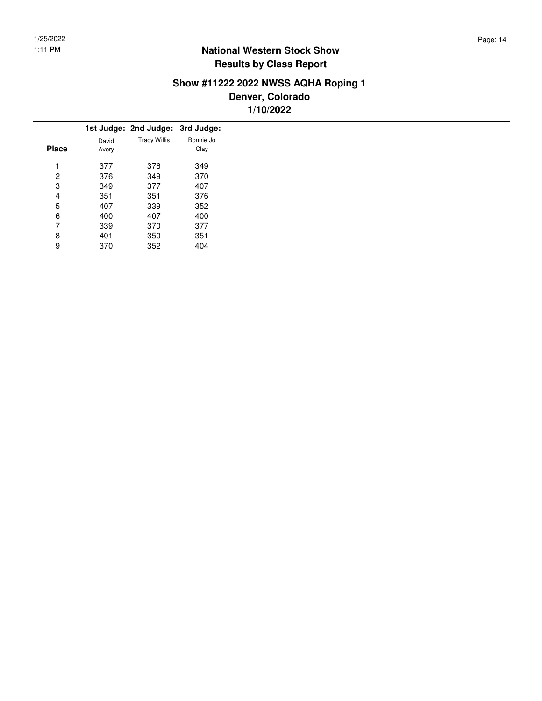# **Show #11222 2022 NWSS AQHA Roping 1**

**Denver, Colorado 1/10/2022**

|       |       | 1st Judge: 2nd Judge: 3rd Judge: |           |
|-------|-------|----------------------------------|-----------|
|       | David | <b>Tracy Willis</b>              | Bonnie Jo |
| Place | Avery |                                  | Clay      |
| 1     | 377   | 376                              | 349       |
| 2     | 376   | 349                              | 370       |
| 3     | 349   | 377                              | 407       |
| 4     | 351   | 351                              | 376       |
| 5     | 407   | 339                              | 352       |
| 6     | 400   | 407                              | 400       |
| 7     | 339   | 370                              | 377       |
| 8     | 401   | 350                              | 351       |
| 9     | 370   | 352                              | 404       |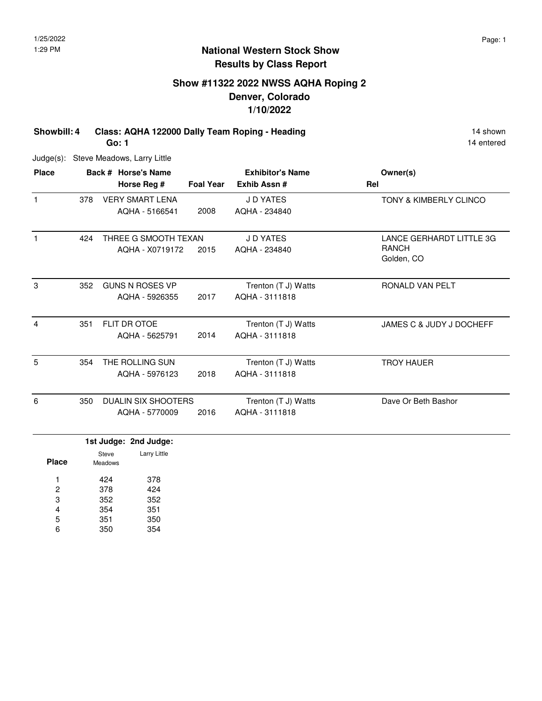# **Show #11322 2022 NWSS AQHA Roping 2 Denver, Colorado 1/10/2022**

**Showbill: 4 Class: AQHA 122000 Dally Team Roping - Heading 14 Shown 14 shown** 

14 entered

Judge(s): Steve Meadows, Larry Little

**Go: 1**

| <b>Place</b> |     | Back # Horse's Name<br>Horse Reg #           | <b>Foal Year</b> | <b>Exhibitor's Name</b><br>Exhib Assn# | Owner(s)<br>Rel                                        |
|--------------|-----|----------------------------------------------|------------------|----------------------------------------|--------------------------------------------------------|
|              | 378 | <b>VERY SMART LENA</b><br>AQHA - 5166541     | 2008             | J D YATES<br>AQHA - 234840             | <b>TONY &amp; KIMBERLY CLINCO</b>                      |
|              | 424 | THREE G SMOOTH TEXAN<br>AOHA - X0719172      | 2015             | J D YATES<br>AQHA - 234840             | LANCE GERHARDT LITTLE 3G<br><b>RANCH</b><br>Golden, CO |
| 3            | 352 | <b>GUNS N ROSES VP</b><br>AQHA - 5926355     | 2017             | Trenton (T J) Watts<br>AQHA - 3111818  | RONALD VAN PELT                                        |
| 4            | 351 | FLIT DR OTOE<br>AQHA - 5625791               | 2014             | Trenton (T J) Watts<br>AQHA - 3111818  | JAMES C & JUDY J DOCHEFF                               |
| 5            | 354 | THE ROLLING SUN<br>AQHA - 5976123            | 2018             | Trenton (T J) Watts<br>AQHA - 3111818  | <b>TROY HAUER</b>                                      |
| 6            | 350 | <b>DUALIN SIX SHOOTERS</b><br>AQHA - 5770009 | 2016             | Trenton (T J) Watts<br>AQHA - 3111818  | Dave Or Beth Bashor                                    |
|              |     | 1st Judge: 2nd Judge:                        |                  |                                        |                                                        |

| <b>Place</b> | Steve<br>Meadows | Larry Little |
|--------------|------------------|--------------|
| 1            | 424              | 378          |
| 2            | 378              | 424          |
| 3            | 352              | 352          |
| 4            | 354              | 351          |
| 5            | 351              | 350          |
| 6            | 350              | 354          |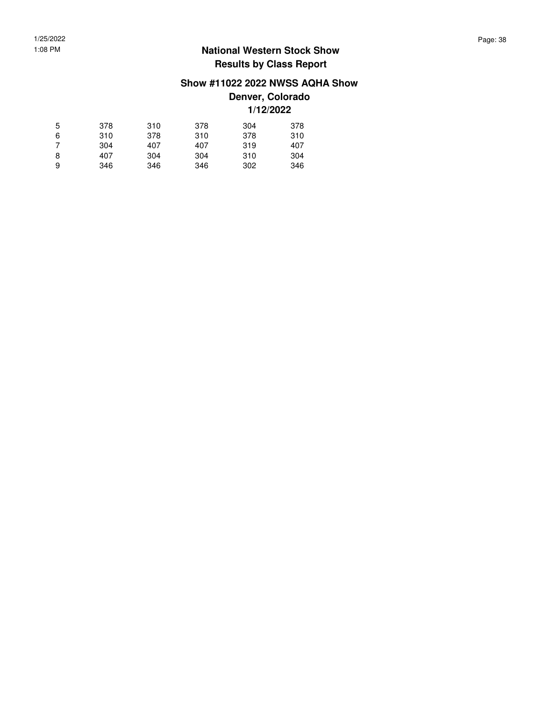#### **Show #11022 2022 NWSS AQHA Show**

**Denver, Colorado 1/12/2022**

| 5 | 378 | 310 | 378 | 304 | 378 |
|---|-----|-----|-----|-----|-----|
| 6 | 310 | 378 | 310 | 378 | 310 |
| 7 | 304 | 407 | 407 | 319 | 407 |
| 8 | 407 | 304 | 304 | 310 | 304 |
| 9 | 346 | 346 | 346 | 302 | 346 |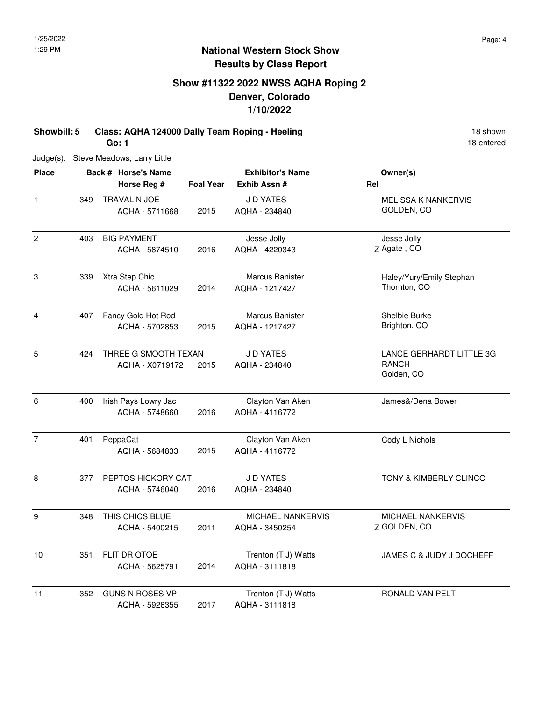# **Show #11322 2022 NWSS AQHA Roping 2 Denver, Colorado 1/10/2022**

**Showbill: 5 Class: AQHA 124000 Dally Team Roping - Heeling 18 Shown 18 shown Go: 1**

18 entered

Judge(s): Steve Meadows, Larry Little

| <b>Place</b>   |     | Back # Horse's Name    |                  | <b>Exhibitor's Name</b> | Owner(s)                   |  |
|----------------|-----|------------------------|------------------|-------------------------|----------------------------|--|
|                |     | Horse Reg #            | <b>Foal Year</b> | Exhib Assn#             | Rel                        |  |
| $\mathbf{1}$   | 349 | TRAVALIN JOE           |                  | <b>JD YATES</b>         | <b>MELISSA K NANKERVIS</b> |  |
|                |     | AQHA - 5711668         | 2015             | AQHA - 234840           | GOLDEN, CO                 |  |
| $\overline{2}$ | 403 | <b>BIG PAYMENT</b>     |                  | Jesse Jolly             | Jesse Jolly                |  |
|                |     | AQHA - 5874510         | 2016             | AQHA - 4220343          | Z Agate, CO                |  |
| 3              | 339 | Xtra Step Chic         |                  | <b>Marcus Banister</b>  | Haley/Yury/Emily Stephan   |  |
|                |     | AQHA - 5611029         | 2014             | AQHA - 1217427          | Thornton, CO               |  |
| $\overline{4}$ | 407 | Fancy Gold Hot Rod     |                  | <b>Marcus Banister</b>  | Shelbie Burke              |  |
|                |     | AQHA - 5702853         | 2015             | AQHA - 1217427          | Brighton, CO               |  |
| 5              | 424 | THREE G SMOOTH TEXAN   |                  | J D YATES               | LANCE GERHARDT LITTLE 3G   |  |
|                |     | AQHA - X0719172        | 2015             | AQHA - 234840           | <b>RANCH</b><br>Golden, CO |  |
| 6              | 400 | Irish Pays Lowry Jac   |                  | Clayton Van Aken        | James&/Dena Bower          |  |
|                |     | AQHA - 5748660         | 2016             | AQHA - 4116772          |                            |  |
| $\overline{7}$ | 401 | PeppaCat               |                  | Clayton Van Aken        | Cody L Nichols             |  |
|                |     | AQHA - 5684833         | 2015             | AQHA - 4116772          |                            |  |
| 8              | 377 | PEPTOS HICKORY CAT     |                  | J D YATES               | TONY & KIMBERLY CLINCO     |  |
|                |     | AQHA - 5746040         | 2016             | AQHA - 234840           |                            |  |
| 9              | 348 | THIS CHICS BLUE        |                  | MICHAEL NANKERVIS       | MICHAEL NANKERVIS          |  |
|                |     | AQHA - 5400215         | 2011             | AQHA - 3450254          | Z GOLDEN, CO               |  |
| 10             | 351 | FLIT DR OTOE           |                  | Trenton (T J) Watts     | JAMES C & JUDY J DOCHEFF   |  |
|                |     | AQHA - 5625791         | 2014             | AQHA - 3111818          |                            |  |
| 11             | 352 | <b>GUNS N ROSES VP</b> |                  | Trenton (T J) Watts     | RONALD VAN PELT            |  |
|                |     | AQHA - 5926355         | 2017             | AQHA - 3111818          |                            |  |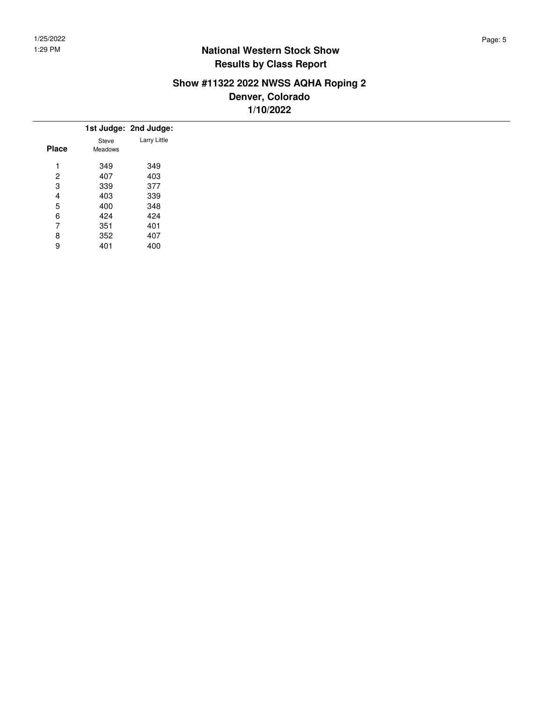## **Show #11322 2022 NWSS AQHA Roping 2 Denver, Colorado 1/10/2022**

|                |         | 1st Judge: 2nd Judge: |
|----------------|---------|-----------------------|
|                | Steve   | Larry Little          |
| <b>Place</b>   | Meadows |                       |
|                | 349     | 349                   |
| $\overline{2}$ | 407     | 403                   |
| 3              | 339     | 377                   |
| 4              | 403     | 339                   |
| 5              | 400     | 348                   |
| 6              | 424     | 424                   |
| 7              | 351     | 401                   |
| 8              | 352     | 407                   |
| 9              | 401     | 400                   |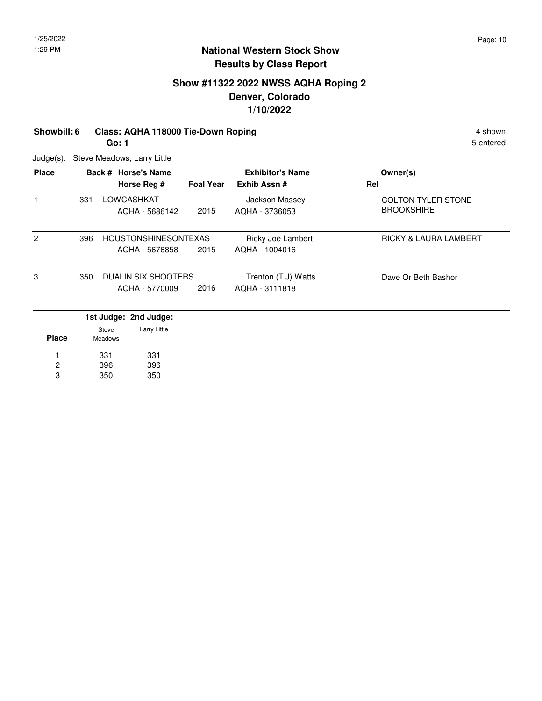# **Show #11322 2022 NWSS AQHA Roping 2 Denver, Colorado 1/10/2022**

#### **Showbill: 6 Class: AQHA 118000 Tie-Down Roping 4 Shown 4 shown 4 shown**

**Go: 1**

5 entered

Judge(s): Steve Meadows, Larry Little

350

3

350

| <b>Place</b>   |     |                  | Back # Horse's Name         |                  | <b>Exhibitor's Name</b> | Owner(s)                         |
|----------------|-----|------------------|-----------------------------|------------------|-------------------------|----------------------------------|
|                |     |                  | Horse Reg #                 | <b>Foal Year</b> | Exhib Assn#             | Rel                              |
| 1              | 331 |                  | LOWCASHKAT                  |                  | Jackson Massey          | <b>COLTON TYLER STONE</b>        |
|                |     |                  | AQHA - 5686142              | 2015             | AQHA - 3736053          | <b>BROOKSHIRE</b>                |
| $\overline{2}$ | 396 |                  | <b>HOUSTONSHINESONTEXAS</b> |                  | Ricky Joe Lambert       | <b>RICKY &amp; LAURA LAMBERT</b> |
|                |     |                  | AQHA - 5676858              | 2015             | AQHA - 1004016          |                                  |
| 3              | 350 |                  | <b>DUALIN SIX SHOOTERS</b>  |                  | Trenton (T J) Watts     | Dave Or Beth Bashor              |
|                |     |                  | AQHA - 5770009              | 2016             | AQHA - 3111818          |                                  |
|                |     |                  | 1st Judge: 2nd Judge:       |                  |                         |                                  |
| <b>Place</b>   |     | Steve<br>Meadows | Larry Little                |                  |                         |                                  |
|                |     | 331              | 331                         |                  |                         |                                  |
| 2              |     | 396              | 396                         |                  |                         |                                  |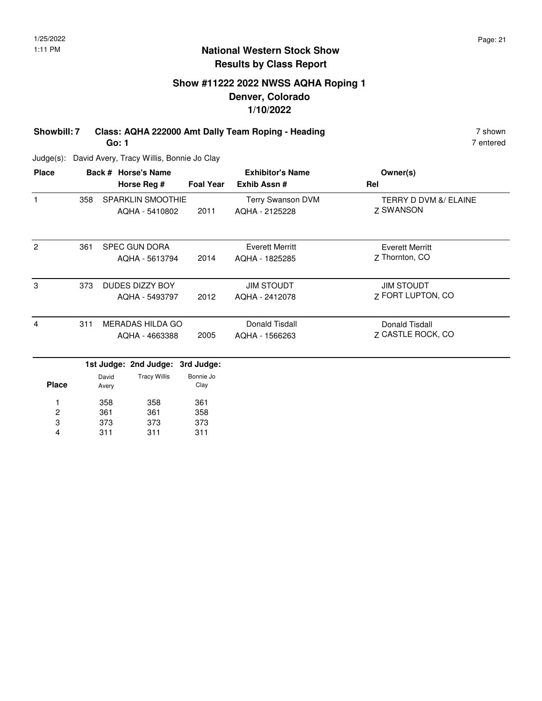# **Show #11222 2022 NWSS AQHA Roping 1 Denver, Colorado 1/10/2022**

**Showbill: 7 Class: AQHA 222000 Amt Dally Team Roping - Heading 7 Shown 7 shown Go: 1**

7 entered

Judge(s): David Avery, Tracy Willis, Bonnie Jo Clay

| Terry Swanson DVM<br>2011<br>AQHA - 2125228<br><b>Everett Merritt</b> | TERRY D DVM &/ ELAINE<br>7 SWANSON<br><b>Everett Merritt</b> |
|-----------------------------------------------------------------------|--------------------------------------------------------------|
|                                                                       |                                                              |
| 2014<br>AQHA - 1825285                                                | 7 Thornton, CO                                               |
| <b>JIM STOUDT</b><br>AQHA - 2412078                                   | <b>JIM STOUDT</b><br>7 FORT LUPTON, CO                       |
| Donald Tisdall<br>AQHA - 1566263                                      | Donald Tisdall<br>7 CASTLE ROCK, CO                          |
|                                                                       | 2012<br>2005                                                 |

|              |                | 1st Judge: 2nd Judge: 3rd Judge: |                   |
|--------------|----------------|----------------------------------|-------------------|
| <b>Place</b> | David<br>Avery | <b>Tracy Willis</b>              | Bonnie Jo<br>Clay |
| 1            | 358            | 358                              | 361               |
| 2            | 361            | 361                              | 358               |
| 3            | 373            | 373                              | 373               |
| 4            | 311            | 311                              | 311               |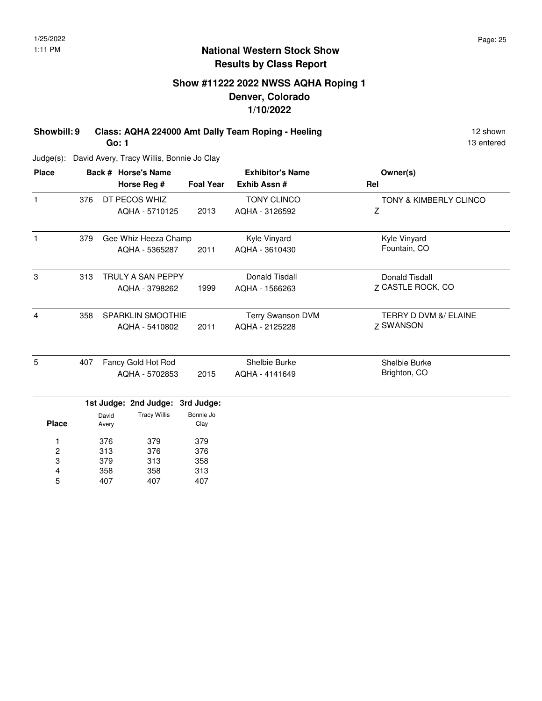# **Show #11222 2022 NWSS AQHA Roping 1 Denver, Colorado 1/10/2022**

**Showbill: 9 Class: AQHA 224000 Amt Dally Team Roping - Heeling 12 Shown 12 shown Go: 1**

13 entered

Judge(s): David Avery, Tracy Willis, Bonnie Jo Clay

3 4 5

313 358 407 358 313 407

| <b>Place</b> |     |                | Back # Horse's Name      |                   | <b>Exhibitor's Name</b> | Owner(s)                          |
|--------------|-----|----------------|--------------------------|-------------------|-------------------------|-----------------------------------|
|              |     |                | Horse Reg #              | <b>Foal Year</b>  | Exhib Assn #            | Rel                               |
| 1            | 376 |                | DT PECOS WHIZ            |                   | <b>TONY CLINCO</b>      | <b>TONY &amp; KIMBERLY CLINCO</b> |
|              |     |                | AQHA - 5710125           | 2013              | AQHA - 3126592          | Z                                 |
| 1            | 379 |                | Gee Whiz Heeza Champ     |                   | Kyle Vinyard            | Kyle Vinyard                      |
|              |     |                | AQHA - 5365287           | 2011              | AQHA - 3610430          | Fountain, CO                      |
| 3            | 313 |                | <b>TRULY A SAN PEPPY</b> |                   | Donald Tisdall          | Donald Tisdall                    |
|              |     |                | AQHA - 3798262           | 1999              | AQHA - 1566263          | Z CASTLE ROCK, CO                 |
| 4            | 358 |                | <b>SPARKLIN SMOOTHIE</b> |                   | Terry Swanson DVM       | TERRY D DVM &/ ELAINE             |
|              |     |                | AQHA - 5410802           | 2011              | AQHA - 2125228          | <b>Z SWANSON</b>                  |
| 5            | 407 |                | Fancy Gold Hot Rod       |                   | Shelbie Burke           | Shelbie Burke                     |
|              |     |                | AQHA - 5702853           | 2015              | AQHA - 4141649          | Brighton, CO                      |
|              |     |                | 1st Judge: 2nd Judge:    | 3rd Judge:        |                         |                                   |
| <b>Place</b> |     | David<br>Avery | <b>Tracy Willis</b>      | Bonnie Jo<br>Clay |                         |                                   |
| 1            |     | 376            | 379                      | 379               |                         |                                   |
| 2            |     | 313            | 376                      | 376               |                         |                                   |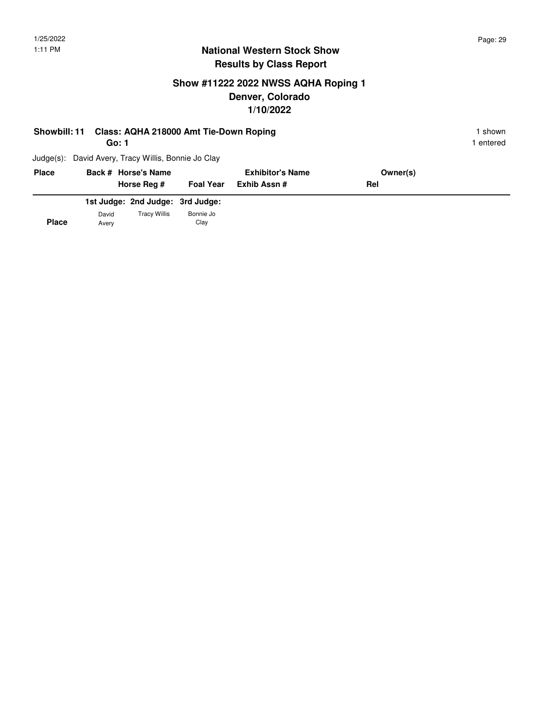# **Show #11222 2022 NWSS AQHA Roping 1 Denver, Colorado 1/10/2022**

| <b>Showbill: 11</b> | Class: AQHA 218000 Amt Tie-Down Roping<br>Go: 1     |                  |                         |            | I shown.<br>entered |
|---------------------|-----------------------------------------------------|------------------|-------------------------|------------|---------------------|
|                     | Judge(s): David Avery, Tracy Willis, Bonnie Jo Clay |                  |                         |            |                     |
| <b>Place</b>        | Back # Horse's Name                                 |                  | <b>Exhibitor's Name</b> | Owner(s)   |                     |
|                     | Horse Reg #                                         | <b>Foal Year</b> | Exhib Assn #            | <b>Rel</b> |                     |

|              |                | 1st Judge: 2nd Judge: 3rd Judge: |                   |
|--------------|----------------|----------------------------------|-------------------|
| <b>Place</b> | David<br>Avery | <b>Tracy Willis</b>              | Bonnie Jo<br>Clay |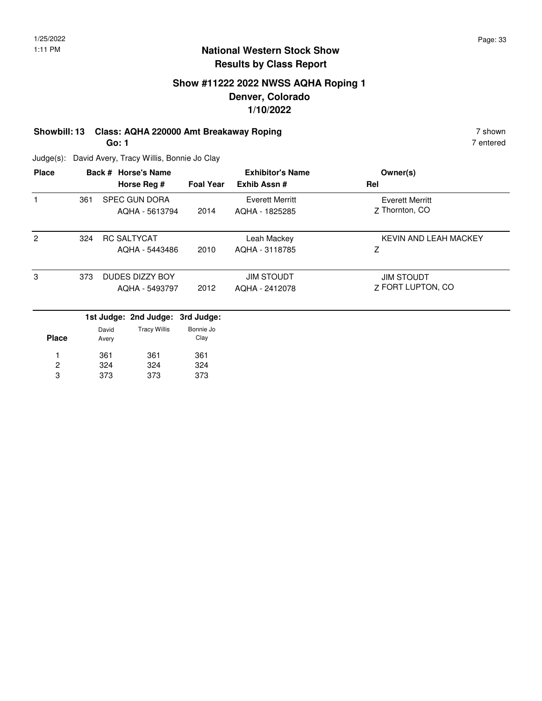# **Show #11222 2022 NWSS AQHA Roping 1 Denver, Colorado 1/10/2022**

# **Showbill: 13 Class: AQHA 220000 Amt Breakaway Roping 7 Shown 7 shown**

**Go: 1**

7 entered

Judge(s): David Avery, Tracy Willis, Bonnie Jo Clay

| Owner(s)<br>Rel                          | <b>Exhibitor's Name</b><br>Exhib Assn#   | <b>Foal Year</b> | Back # Horse's Name<br>Horse Reg #     |     | <b>Place</b> |
|------------------------------------------|------------------------------------------|------------------|----------------------------------------|-----|--------------|
| <b>Everett Merritt</b><br>Z Thornton, CO | <b>Everett Merritt</b><br>AQHA - 1825285 | 2014             | <b>SPEC GUN DORA</b><br>AQHA - 5613794 | 361 |              |
| KEVIN AND LEAH MACKEY<br>z               | Leah Mackey<br>AQHA - 3118785            | 2010             | <b>RC SALTYCAT</b><br>AQHA - 5443486   | 324 | 2            |
| <b>JIM STOUDT</b><br>7 FORT LUPTON, CO   | <b>JIM STOUDT</b><br>AQHA - 2412078      | 2012             | DUDES DIZZY BOY<br>AQHA - 5493797      | 373 | 3            |
|                                          |                                          |                  | 1st Judge: 2nd Judge: 3rd Judge:       |     |              |

| <b>Place</b> | David<br>Avery | <b>Tracy Willis</b> | Bonnie Jo<br>Clay |
|--------------|----------------|---------------------|-------------------|
|              | 361            | 361                 | 361               |
| 2            | 324            | 324                 | 324               |
| з            | 373            | 373                 | 373               |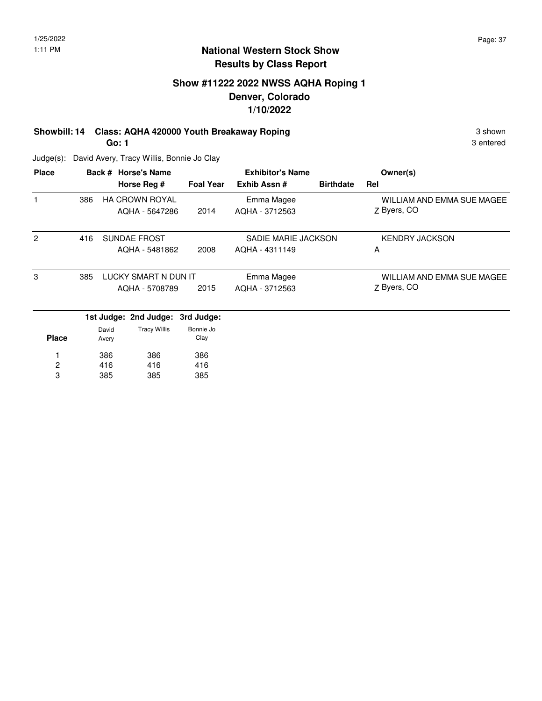3 entered

#### **National Western Stock Show Results by Class Report**

# **Show #11222 2022 NWSS AQHA Roping 1 Denver, Colorado 1/10/2022**

**Showbill: 14 Class: AQHA 420000 Youth Breakaway Roping 3 Shown 3 shown Go: 1**

Judge(s): David Avery, Tracy Willis, Bonnie Jo Clay

416 385

2 3

416 385 416 385

| <b>Place</b>   |     |       | Back # Horse's Name<br>Horse Reg # | <b>Foal Year</b> | <b>Exhibitor's Name</b><br>Exhib Assn# | <b>Birthdate</b> | Owner(s)<br>Rel            |
|----------------|-----|-------|------------------------------------|------------------|----------------------------------------|------------------|----------------------------|
|                |     |       |                                    |                  |                                        |                  |                            |
|                | 386 |       | <b>HA CROWN ROYAL</b>              |                  | Emma Magee                             |                  | WILLIAM AND EMMA SUE MAGEE |
|                |     |       | AQHA - 5647286                     | 2014             | AQHA - 3712563                         |                  | Z Byers, CO                |
| $\overline{2}$ | 416 |       | <b>SUNDAE FROST</b>                |                  | SADIE MARIE JACKSON                    |                  | <b>KENDRY JACKSON</b>      |
|                |     |       | AQHA - 5481862                     | 2008             | AQHA - 4311149                         |                  | A                          |
| 3              | 385 |       | LUCKY SMART N DUN IT               |                  | Emma Magee                             |                  | WILLIAM AND EMMA SUE MAGEE |
|                |     |       | AQHA - 5708789                     | 2015             | AQHA - 3712563                         |                  | Z Byers, CO                |
|                |     |       | 1st Judge: 2nd Judge:              | 3rd Judge:       |                                        |                  |                            |
|                |     | David | <b>Tracy Willis</b>                | Bonnie Jo        |                                        |                  |                            |
| <b>Place</b>   |     | Avery |                                    | Clay             |                                        |                  |                            |
|                |     | 386   | 386                                | 386              |                                        |                  |                            |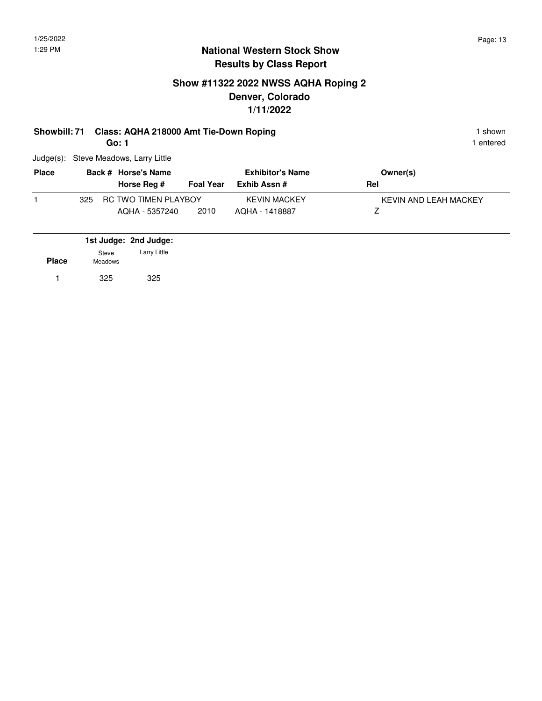# **Show #11322 2022 NWSS AQHA Roping 2 Denver, Colorado 1/11/2022**

#### **Showbill: 71 Class: AQHA 218000 Amt Tie-Down Roping 1 Shown 1 shown 1 shown**

**Go: 1**

1 entered

Judge(s): Steve Meadows, Larry Little

| <b>Place</b> | Back # Horse's Name                |                  | <b>Exhibitor's Name</b> | Owner(s)              |
|--------------|------------------------------------|------------------|-------------------------|-----------------------|
|              | Horse Reg #                        | <b>Foal Year</b> | Exhib Assn #            | Rel                   |
|              | <b>RC TWO TIMEN PLAYBOY</b><br>325 |                  | <b>KEVIN MACKEY</b>     | KEVIN AND LEAH MACKEY |
|              | AQHA - 5357240                     | 2010             | AQHA - 1418887          |                       |

|              |                  | 1st Judge: 2nd Judge: |  |
|--------------|------------------|-----------------------|--|
| <b>Place</b> | Steve<br>Meadows | Larry Little          |  |
| 1            | 325              | 325                   |  |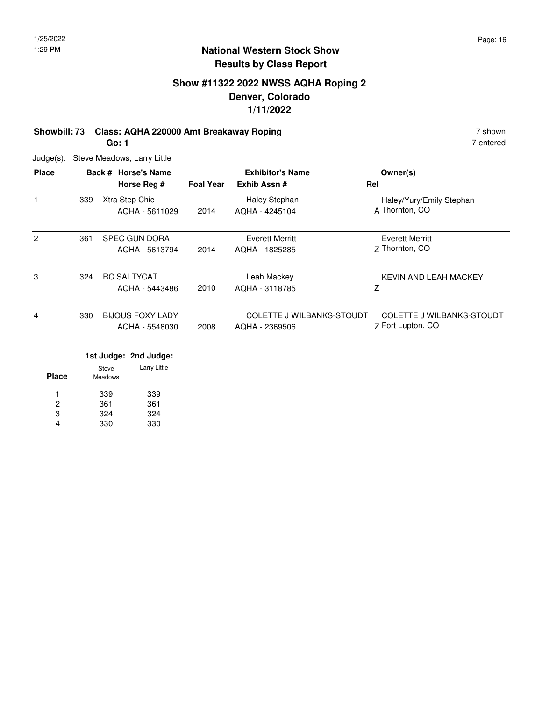# **Show #11322 2022 NWSS AQHA Roping 2 Denver, Colorado 1/11/2022**

# **Showbill: 73 Class: AQHA 220000 Amt Breakaway Roping 7 Shown 7 shown** 7 shown

**Go: 1**

Judge(s): Steve Meadows, Larry Little

| <b>Place</b>   |     | Back # Horse's Name<br>Horse Reg #        | <b>Foal Year</b> | <b>Exhibitor's Name</b><br>Exhib Assn#      | Owner(s)<br>Rel                                       |
|----------------|-----|-------------------------------------------|------------------|---------------------------------------------|-------------------------------------------------------|
| 1              | 339 | Xtra Step Chic<br>AQHA - 5611029          | 2014             | Haley Stephan<br>AQHA - 4245104             | Haley/Yury/Emily Stephan<br>A Thornton, CO            |
| $\overline{c}$ | 361 | <b>SPEC GUN DORA</b><br>AQHA - 5613794    | 2014             | Everett Merritt<br>AQHA - 1825285           | Everett Merritt<br>7 Thornton, CO                     |
| 3              | 324 | <b>RC SALTYCAT</b><br>AQHA - 5443486      | 2010             | Leah Mackey<br>AQHA - 3118785               | KEVIN AND LEAH MACKEY<br>Z                            |
| 4              | 330 | <b>BIJOUS FOXY LADY</b><br>AQHA - 5548030 | 2008             | COLETTE J WILBANKS-STOUDT<br>AQHA - 2369506 | <b>COLETTE J WILBANKS-STOUDT</b><br>Z Fort Lupton, CO |
|                |     | المستلفينا المستكر المستلملية القساف      |                  |                                             |                                                       |

|              |                  | 1st Judge: 2nd Judge: |
|--------------|------------------|-----------------------|
| <b>Place</b> | Steve<br>Meadows | Larry Little          |
| 1            | 339              | 339                   |
| 2            | 361              | 361                   |
| 3            | 324              | 324                   |
| 4            | 330              | 330                   |

7 entered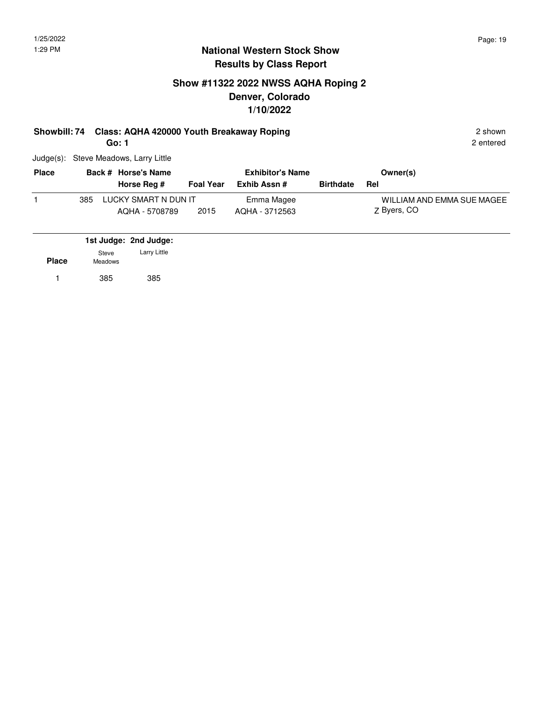# **Show #11322 2022 NWSS AQHA Roping 2 Denver, Colorado 1/10/2022**

# **Showbill: 74 Class: AQHA 420000 Youth Breakaway Roping** 2 shown 2 shown

**Go: 1**

Judge(s): Steve Meadows, Larry Little

| <b>Place</b> |     | Back # Horse's Name                    |                  | <b>Exhibitor's Name</b>      |                  | Owner(s)                                  |
|--------------|-----|----------------------------------------|------------------|------------------------------|------------------|-------------------------------------------|
|              |     | Horse Reg #                            | <b>Foal Year</b> | Exhib Assn #                 | <b>Birthdate</b> | Rel                                       |
|              | 385 | LUCKY SMART N DUN IT<br>AQHA - 5708789 | 2015             | Emma Magee<br>AQHA - 3712563 |                  | WILLIAM AND EMMA SUE MAGEE<br>Z Byers, CO |

|              |                         | 1st Judge: 2nd Judge: |
|--------------|-------------------------|-----------------------|
| <b>Place</b> | Steve<br><b>Meadows</b> | Larry Little          |
|              | 385                     | 385                   |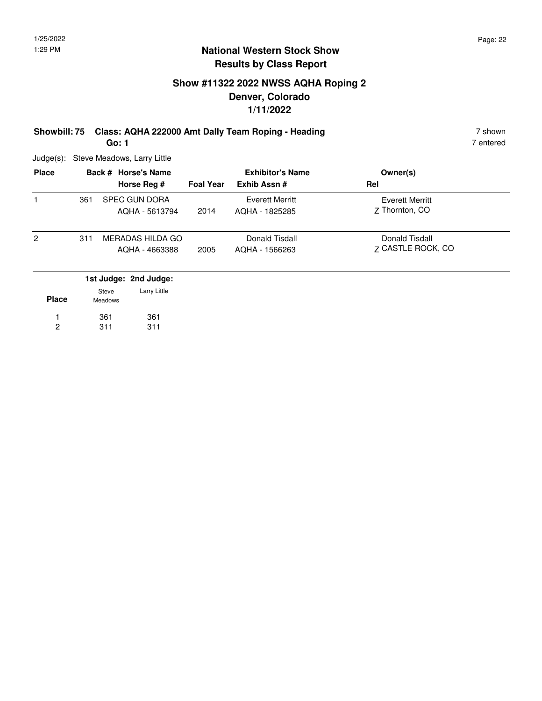# **Show #11322 2022 NWSS AQHA Roping 2 Denver, Colorado 1/11/2022**

**Showbill: 75 Class: AQHA 222000 Amt Dally Team Roping - Heading 7 Shown 7 shown Go: 1**

7 entered

Judge(s): Steve Meadows, Larry Little

| <b>Place</b>   |     | Back # Horse's Name          | <b>Foal Year</b> | <b>Exhibitor's Name</b><br>Exhib Assn# | Owner(s)<br>Rel        |
|----------------|-----|------------------------------|------------------|----------------------------------------|------------------------|
|                | 361 | Horse Reg #<br>SPEC GUN DORA |                  | <b>Everett Merritt</b>                 | <b>Everett Merritt</b> |
|                |     | AQHA - 5613794               | 2014             | AQHA - 1825285                         | 7 Thornton, CO         |
| $\overline{2}$ | 311 | MERADAS HILDA GO             |                  | Donald Tisdall                         | Donald Tisdall         |
|                |     | AQHA - 4663388               | 2005             | AQHA - 1566263                         | 7 CASTLE ROCK, CO      |
|                |     | 1st Judge: 2nd Judge:        |                  |                                        |                        |
|                |     | Larry Little<br>Steve        |                  |                                        |                        |

| <b>Place</b> | ---<br><b>Meadows</b> |     |
|--------------|-----------------------|-----|
|              | 361                   | 361 |
| 2            | 311                   | 311 |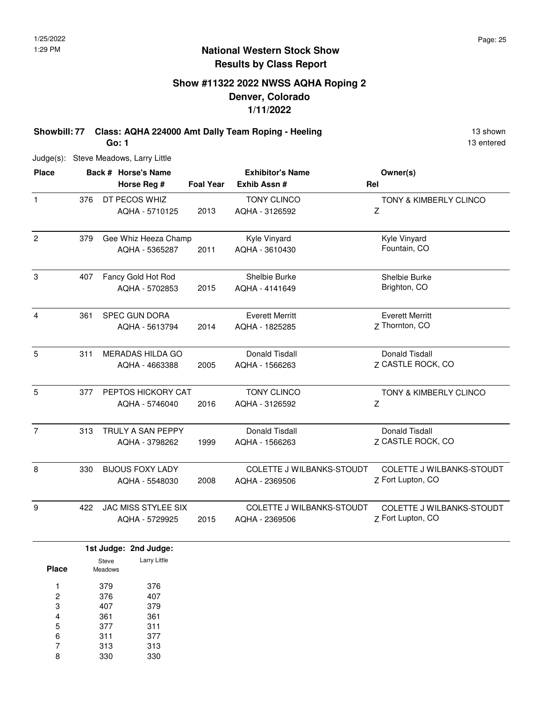# **Show #11322 2022 NWSS AQHA Roping 2 Denver, Colorado 1/11/2022**

**Showbill: 77 Class: AQHA 224000 Amt Dally Team Roping - Heeling 13 Shown 13 shown Go: 1**

Judge(s): Steve Meadows, Larry Little

| <b>Place</b>   |     | Back # Horse's Name<br>Horse Reg #           | <b>Foal Year</b> | <b>Exhibitor's Name</b><br>Exhib Assn #            | Owner(s)<br>Rel                                       |
|----------------|-----|----------------------------------------------|------------------|----------------------------------------------------|-------------------------------------------------------|
| $\mathbf{1}$   | 376 | DT PECOS WHIZ<br>AQHA - 5710125              | 2013             | <b>TONY CLINCO</b><br>AQHA - 3126592               | TONY & KIMBERLY CLINCO<br>Z                           |
| $\overline{2}$ | 379 | Gee Whiz Heeza Champ<br>AQHA - 5365287       | 2011             | Kyle Vinyard<br>AQHA - 3610430                     | Kyle Vinyard<br>Fountain, CO                          |
| 3              | 407 | Fancy Gold Hot Rod<br>AQHA - 5702853         | 2015             | Shelbie Burke<br>AQHA - 4141649                    | Shelbie Burke<br>Brighton, CO                         |
| 4              | 361 | <b>SPEC GUN DORA</b><br>AQHA - 5613794       | 2014             | <b>Everett Merritt</b><br>AQHA - 1825285           | <b>Everett Merritt</b><br>Z Thornton, CO              |
| 5              | 311 | <b>MERADAS HILDA GO</b><br>AQHA - 4663388    | 2005             | Donald Tisdall<br>AQHA - 1566263                   | Donald Tisdall<br>Z CASTLE ROCK, CO                   |
| 5              | 377 | PEPTOS HICKORY CAT<br>AQHA - 5746040         | 2016             | <b>TONY CLINCO</b><br>AQHA - 3126592               | <b>TONY &amp; KIMBERLY CLINCO</b><br>Ζ                |
| $\overline{7}$ | 313 | TRULY A SAN PEPPY<br>AQHA - 3798262          | 1999             | Donald Tisdall<br>AQHA - 1566263                   | Donald Tisdall<br>Z CASTLE ROCK, CO                   |
| 8              | 330 | <b>BIJOUS FOXY LADY</b><br>AQHA - 5548030    | 2008             | COLETTE J WILBANKS-STOUDT<br>AQHA - 2369506        | COLETTE J WILBANKS-STOUDT<br>Z Fort Lupton, CO        |
| 9              | 422 | <b>JAC MISS STYLEE SIX</b><br>AQHA - 5729925 | 2015             | <b>COLETTE J WILBANKS-STOUDT</b><br>AQHA - 2369506 | <b>COLETTE J WILBANKS-STOUDT</b><br>Z Fort Lupton, CO |

|       |                  | 1st Judge: 2nd Judge: |
|-------|------------------|-----------------------|
| Place | Steve<br>Meadows | Larry Little          |
| 1     | 379              | 376                   |
| 2     | 376              | 407                   |
| 3     | 407              | 379                   |
| 4     | 361              | 361                   |
| 5     | 377              | 311                   |
| 6     | 311              | 377                   |
| 7     | 313              | 313                   |
| 8     | 330              | 330                   |

13 entered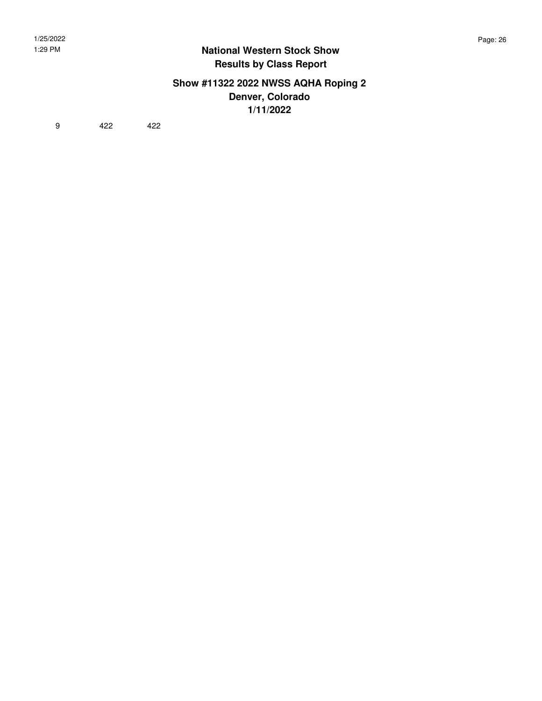#### **Show #11322 2022 NWSS AQHA Roping 2 Denver, Colorado 1/11/2022**

9 422 422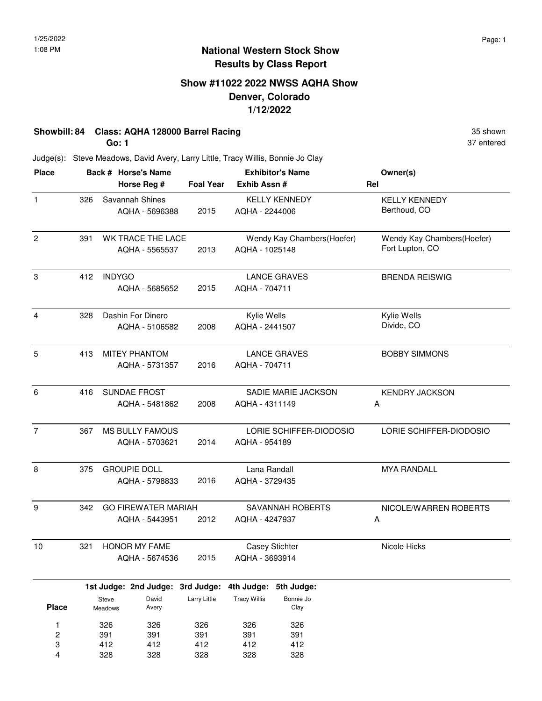# **Show #11022 2022 NWSS AQHA Show Denver, Colorado 1/12/2022**

# **Showbill: 84 Class: AQHA 128000 Barrel Racing 35 Shown 35 shown 35 shown**

**Go: 1**

37 entered

Judge(s): Steve Meadows, David Avery, Larry Little, Tracy Willis, Bonnie Jo Clay

| <b>Place</b>            |     |                  | Back # Horse's Name              |                  |                     | <b>Exhibitor's Name</b>    | Owner(s)                   |
|-------------------------|-----|------------------|----------------------------------|------------------|---------------------|----------------------------|----------------------------|
|                         |     |                  | Horse Reg #                      | <b>Foal Year</b> | Exhib Assn#         |                            | Rel                        |
| $\mathbf{1}$            | 326 |                  | Savannah Shines                  |                  |                     | <b>KELLY KENNEDY</b>       | <b>KELLY KENNEDY</b>       |
|                         |     |                  | AQHA - 5696388                   | 2015             | AQHA - 2244006      |                            | Berthoud, CO               |
| $\overline{c}$          | 391 |                  | WK TRACE THE LACE                |                  |                     | Wendy Kay Chambers(Hoefer) | Wendy Kay Chambers(Hoefer) |
|                         |     |                  | AQHA - 5565537                   | 2013             | AQHA - 1025148      |                            | Fort Lupton, CO            |
| 3                       | 412 | <b>INDYGO</b>    |                                  |                  |                     | <b>LANCE GRAVES</b>        | <b>BRENDA REISWIG</b>      |
|                         |     |                  | AQHA - 5685652                   | 2015             | AQHA - 704711       |                            |                            |
| 4                       | 328 |                  | Dashin For Dinero                |                  | Kylie Wells         |                            | Kylie Wells                |
|                         |     |                  | AQHA - 5106582                   | 2008             | AQHA - 2441507      |                            | Divide, CO                 |
| 5                       | 413 |                  | <b>MITEY PHANTOM</b>             |                  |                     | <b>LANCE GRAVES</b>        | <b>BOBBY SIMMONS</b>       |
|                         |     |                  | AQHA - 5731357                   | 2016             | AQHA - 704711       |                            |                            |
| 6                       | 416 |                  | SUNDAE FROST                     |                  |                     | SADIE MARIE JACKSON        | <b>KENDRY JACKSON</b>      |
|                         |     |                  | AQHA - 5481862                   | 2008             | AQHA - 4311149      |                            | Α                          |
| $\overline{7}$          | 367 |                  | <b>MS BULLY FAMOUS</b>           |                  |                     | LORIE SCHIFFER-DIODOSIO    | LORIE SCHIFFER-DIODOSIO    |
|                         |     |                  | AQHA - 5703621                   | 2014             | AQHA - 954189       |                            |                            |
| 8                       | 375 |                  | <b>GROUPIE DOLL</b>              |                  | Lana Randall        |                            | <b>MYA RANDALL</b>         |
|                         |     |                  | AQHA - 5798833                   | 2016             | AQHA - 3729435      |                            |                            |
| 9                       | 342 |                  | <b>GO FIREWATER MARIAH</b>       |                  |                     | SAVANNAH ROBERTS           | NICOLE/WARREN ROBERTS      |
|                         |     |                  | AQHA - 5443951                   | 2012             | AQHA - 4247937      |                            | Α                          |
| 10                      | 321 |                  | <b>HONOR MY FAME</b>             |                  |                     | <b>Casey Stichter</b>      | Nicole Hicks               |
|                         |     |                  | AQHA - 5674536                   | 2015             | AQHA - 3693914      |                            |                            |
|                         |     |                  | 1st Judge: 2nd Judge: 3rd Judge: |                  | 4th Judge:          | 5th Judge:                 |                            |
| <b>Place</b>            |     | Steve<br>Meadows | David<br>Avery                   | Larry Little     | <b>Tracy Willis</b> | Bonnie Jo<br>Clay          |                            |
| 1                       |     | 326              | 326                              | 326              | 326                 | 326                        |                            |
| $\overline{\mathbf{c}}$ |     | 391              | 391                              | 391              | 391                 | 391                        |                            |
| 3                       |     | 412              | 412                              | 412              | 412                 | 412                        |                            |
| 4                       |     | 328              | 328                              | 328              | 328                 | 328                        |                            |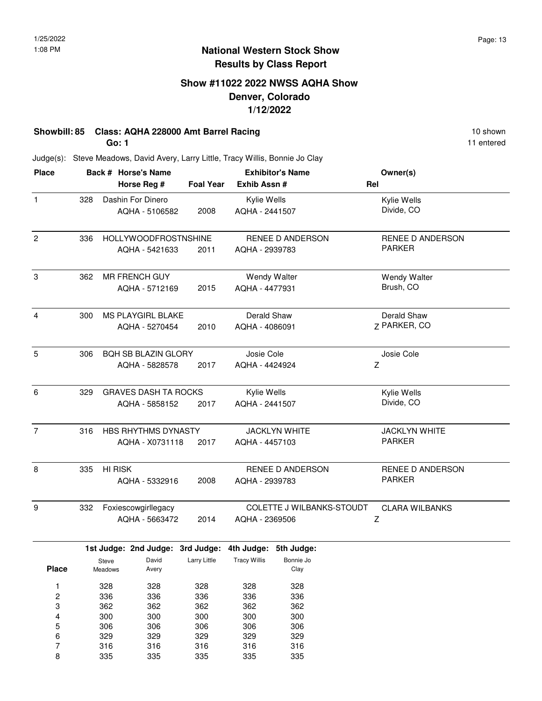# **Show #11022 2022 NWSS AQHA Show Denver, Colorado 1/12/2022**

# **Showbill: 85 Class: AQHA 228000 Amt Barrel Racing 10 Shown 10 shown 10 shown**

**Go: 1**

11 entered

Judge(s): Steve Meadows, David Avery, Larry Little, Tracy Willis, Bonnie Jo Clay

| <b>Place</b>   |     | Back # Horse's Name         |                  | <b>Exhibitor's Name</b>          | Owner(s)                |  |
|----------------|-----|-----------------------------|------------------|----------------------------------|-------------------------|--|
|                |     | Horse Reg #                 | <b>Foal Year</b> | Exhib Assn #                     | Rel                     |  |
| $\mathbf{1}$   | 328 | Dashin For Dinero           |                  | Kylie Wells                      | Kylie Wells             |  |
|                |     | AQHA - 5106582              | 2008             | AQHA - 2441507                   | Divide, CO              |  |
| $\overline{c}$ | 336 | <b>HOLLYWOODFROSTNSHINE</b> |                  | RENEE D ANDERSON                 | <b>RENEE D ANDERSON</b> |  |
|                |     | AQHA - 5421633              | 2011             | AQHA - 2939783                   | <b>PARKER</b>           |  |
| 3              | 362 | <b>MR FRENCH GUY</b>        |                  | <b>Wendy Walter</b>              | <b>Wendy Walter</b>     |  |
|                |     | AQHA - 5712169<br>2015      |                  | AQHA - 4477931                   | Brush, CO               |  |
| $\overline{4}$ | 300 | MS PLAYGIRL BLAKE           |                  | Derald Shaw                      | Derald Shaw             |  |
|                |     | AQHA - 5270454              | 2010             | AQHA - 4086091                   | Z PARKER, CO            |  |
| 5              | 306 | <b>BOH SB BLAZIN GLORY</b>  |                  | Josie Cole                       | Josie Cole              |  |
|                |     | AQHA - 5828578              | 2017             | AQHA - 4424924                   | Z                       |  |
| 6              | 329 | <b>GRAVES DASH TA ROCKS</b> |                  | Kylie Wells                      | Kylie Wells             |  |
|                |     | AQHA - 5858152              | 2017             | AQHA - 2441507                   | Divide, CO              |  |
| $\overline{7}$ | 316 | HBS RHYTHMS DYNASTY         |                  | <b>JACKLYN WHITE</b>             | <b>JACKLYN WHITE</b>    |  |
|                |     | AQHA - X0731118             | 2017             | AQHA - 4457103                   | <b>PARKER</b>           |  |
| 8              | 335 | <b>HI RISK</b>              |                  | RENEE D ANDERSON                 | RENEE D ANDERSON        |  |
|                |     | AQHA - 5332916              | 2008             | AQHA - 2939783                   | <b>PARKER</b>           |  |
| 9              | 332 | Foxiescowgirllegacy         |                  | <b>COLETTE J WILBANKS-STOUDT</b> | <b>CLARA WILBANKS</b>   |  |
|                |     | AQHA - 5663472              | 2014             | AQHA - 2369506                   | Ζ                       |  |

|              |                | 1st Judge: 2nd Judge: 3rd Judge: |              | 4th Judge:          | 5th Judge: |
|--------------|----------------|----------------------------------|--------------|---------------------|------------|
|              | Steve          | David                            | Larry Little | <b>Tracy Willis</b> | Bonnie Jo  |
| <b>Place</b> | <b>Meadows</b> | Avery                            |              |                     | Clay       |
|              | 328            | 328                              | 328          | 328                 | 328        |
| 2            | 336            | 336                              | 336          | 336                 | 336        |
| 3            | 362            | 362                              | 362          | 362                 | 362        |
| 4            | 300            | 300                              | 300          | 300                 | 300        |
| 5            | 306            | 306                              | 306          | 306                 | 306        |
| 6            | 329            | 329                              | 329          | 329                 | 329        |
| 7            | 316            | 316                              | 316          | 316                 | 316        |
| 8            | 335            | 335                              | 335          | 335                 | 335        |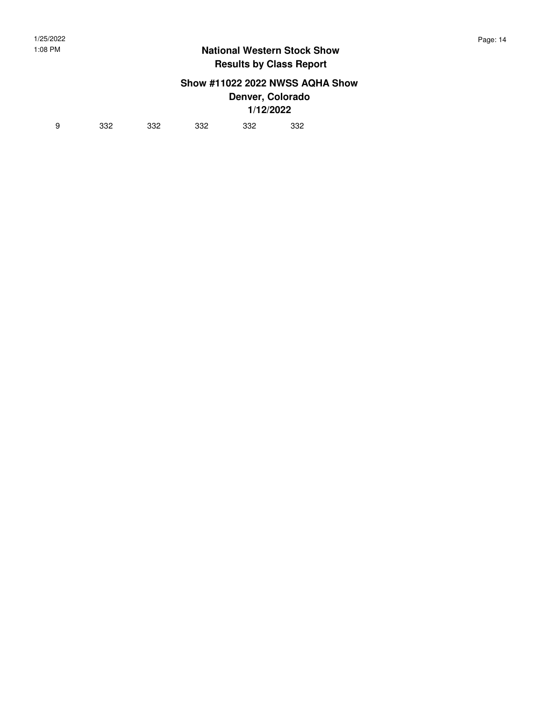# **Show #11022 2022 NWSS AQHA Show**

**Denver, Colorado 1/12/2022**

| 9 | 332 | 332 | 332 | 332 | 332 |  |
|---|-----|-----|-----|-----|-----|--|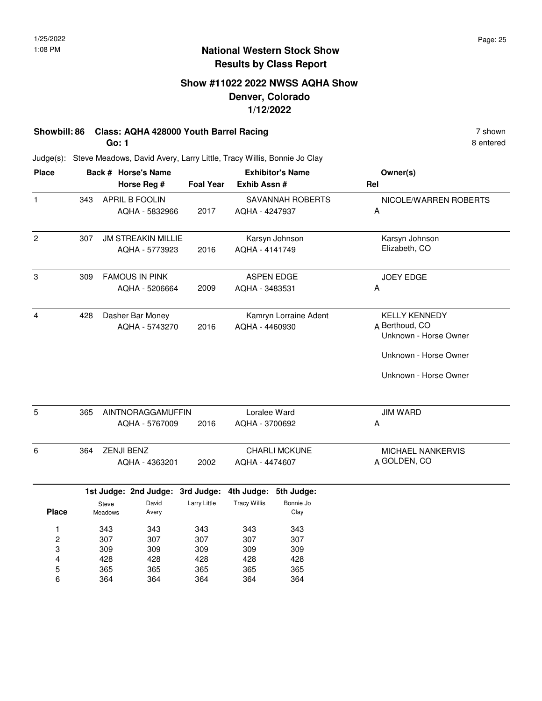# **Show #11022 2022 NWSS AQHA Show Denver, Colorado 1/12/2022**

#### **Showbill: 86 Class: AQHA 428000 Youth Barrel Racing 7 shown 7 shown Go: 1**

Judge(s): Steve Meadows, David Avery, Larry Little, Tracy Willis, Bonnie Jo Clay

| <b>Place</b>            |     |                   | Back # Horse's Name              |                     | <b>Exhibitor's Name</b> |                       | Owner(s)                                |
|-------------------------|-----|-------------------|----------------------------------|---------------------|-------------------------|-----------------------|-----------------------------------------|
|                         |     |                   | Horse Reg #                      | <b>Foal Year</b>    | Exhib Assn #            |                       | Rel                                     |
| $\mathbf{1}$            | 343 |                   | APRIL B FOOLIN                   |                     |                         | SAVANNAH ROBERTS      | NICOLE/WARREN ROBERTS                   |
|                         |     |                   | AQHA - 5832966                   | 2017                | AQHA - 4247937          |                       | A                                       |
| $\overline{c}$          | 307 |                   | <b>JM STREAKIN MILLIE</b>        |                     |                         | Karsyn Johnson        | Karsyn Johnson                          |
|                         |     |                   | AQHA - 5773923                   | 2016                | AQHA - 4141749          |                       | Elizabeth, CO                           |
| 3                       | 309 |                   | <b>FAMOUS IN PINK</b>            |                     |                         | <b>ASPEN EDGE</b>     | <b>JOEY EDGE</b>                        |
|                         |     |                   | AQHA - 5206664                   | 2009                | AQHA - 3483531          |                       | Α                                       |
| 4                       | 428 |                   | Dasher Bar Money                 |                     |                         | Kamryn Lorraine Adent | <b>KELLY KENNEDY</b>                    |
|                         |     |                   | AQHA - 5743270                   | 2016                | AQHA - 4460930          |                       | A Berthoud, CO<br>Unknown - Horse Owner |
|                         |     |                   |                                  |                     |                         |                       | Unknown - Horse Owner                   |
|                         |     |                   |                                  |                     |                         |                       | Unknown - Horse Owner                   |
| 5                       | 365 |                   | AINTNORAGGAMUFFIN                |                     | Loralee Ward            |                       | <b>JIM WARD</b>                         |
|                         |     |                   | AQHA - 5767009                   | 2016                | AQHA - 3700692          |                       | Α                                       |
| 6                       | 364 | <b>ZENJI BENZ</b> |                                  |                     |                         | CHARLI MCKUNE         | MICHAEL NANKERVIS                       |
|                         |     |                   | AQHA - 4363201                   | 2002                | AQHA - 4474607          |                       | A GOLDEN, CO                            |
|                         |     |                   | 1st Judge: 2nd Judge: 3rd Judge: |                     |                         | 4th Judge: 5th Judge: |                                         |
| <b>Place</b>            |     | Steve<br>Meadows  | David<br>Avery                   | <b>Larry Little</b> | <b>Tracy Willis</b>     | Bonnie Jo<br>Clay     |                                         |
| 1                       |     | 343               | 343                              | 343                 | 343                     | 343                   |                                         |
| $\overline{\mathbf{c}}$ |     | 307               | 307                              | 307                 | 307                     | 307                   |                                         |
| 3                       |     | 309               | 309                              | 309                 | 309                     | 309                   |                                         |
| 4                       |     | 428               | 428                              | 428                 | 428                     | 428                   |                                         |
| 5                       |     | 365               | 365                              | 365                 | 365                     | 365                   |                                         |
| 6                       |     | 364               | 364                              | 364                 | 364<br>364              |                       |                                         |

8 entered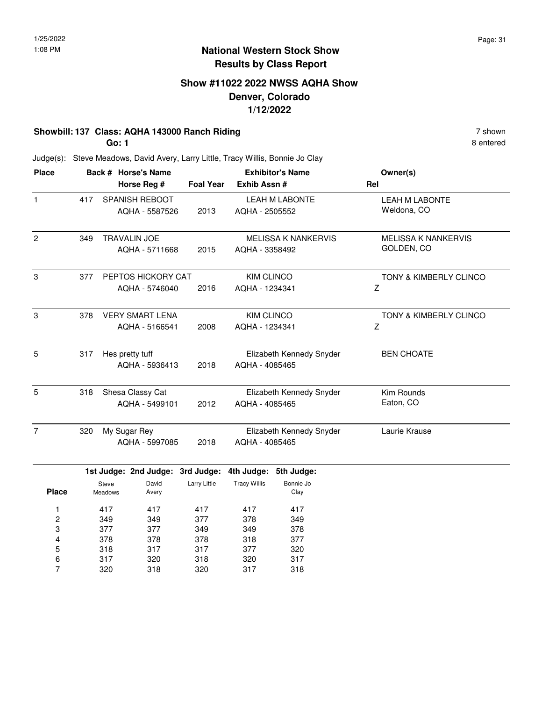8 entered

#### **National Western Stock Show Results by Class Report**

# **Show #11022 2022 NWSS AQHA Show Denver, Colorado 1/12/2022**

# **Showbill: 137 Class: AQHA 143000 Ranch Riding 7 shown 7 shown 7 shown**

**Go: 1**

Judge(s): Steve Meadows, David Avery, Larry Little, Tracy Willis, Bonnie Jo Clay

| <b>Place</b><br>Back # Horse's Name |                        |                |                                  |                  | <b>Exhibitor's Name</b>  | Owner(s)                   |                            |
|-------------------------------------|------------------------|----------------|----------------------------------|------------------|--------------------------|----------------------------|----------------------------|
|                                     |                        |                | Horse Reg #                      | <b>Foal Year</b> | Exhib Assn #             |                            | Rel                        |
| $\mathbf{1}$                        | 417                    |                | <b>SPANISH REBOOT</b>            |                  |                          | <b>LEAH M LABONTE</b>      | <b>LEAH M LABONTE</b>      |
|                                     |                        |                | AQHA - 5587526                   | 2013             | AQHA - 2505552           |                            | Weldona, CO                |
| $\overline{c}$                      | 349                    |                | <b>TRAVALIN JOE</b>              |                  |                          | <b>MELISSA K NANKERVIS</b> | <b>MELISSA K NANKERVIS</b> |
|                                     |                        |                | AQHA - 5711668                   | 2015             | AQHA - 3358492           |                            | GOLDEN, CO                 |
| 3                                   | 377                    |                | PEPTOS HICKORY CAT               |                  | <b>KIM CLINCO</b>        |                            | TONY & KIMBERLY CLINCO     |
|                                     |                        |                | AQHA - 5746040                   | 2016             | AQHA - 1234341           |                            | Z                          |
| 3                                   | 378                    |                | <b>VERY SMART LENA</b>           |                  | <b>KIM CLINCO</b>        |                            | TONY & KIMBERLY CLINCO     |
|                                     |                        |                | AQHA - 5166541                   | 2008             | AQHA - 1234341           |                            | Z                          |
| 5                                   | 317<br>Hes pretty tuff |                |                                  |                  | Elizabeth Kennedy Snyder | <b>BEN CHOATE</b>          |                            |
|                                     |                        |                | AQHA - 5936413                   | 2018             | AQHA - 4085465           |                            |                            |
| 5                                   | 318                    |                | Shesa Classy Cat                 |                  |                          | Elizabeth Kennedy Snyder   | Kim Rounds                 |
|                                     |                        |                | AQHA - 5499101                   | 2012             | AQHA - 4085465           |                            | Eaton, CO                  |
| $\overline{7}$                      | 320                    |                | My Sugar Rey                     |                  |                          | Elizabeth Kennedy Snyder   | Laurie Krause              |
|                                     |                        |                | AQHA - 5997085                   | 2018             | AQHA - 4085465           |                            |                            |
|                                     |                        |                | 1st Judge: 2nd Judge: 3rd Judge: |                  | 4th Judge:               | 5th Judge:                 |                            |
|                                     |                        | Steve          | David                            | Larry Little     | <b>Tracy Willis</b>      | Bonnie Jo                  |                            |
| <b>Place</b>                        |                        | <b>Meadows</b> | Avery                            |                  |                          | Clay                       |                            |
| 1                                   |                        | 417            | 417                              | 417              | 417                      | 417                        |                            |
| $\overline{\mathbf{c}}$             |                        | 349            | 349                              | 377              | 378                      | 349                        |                            |
| 3                                   |                        | 377            | 377                              | 349              | 349                      | 378                        |                            |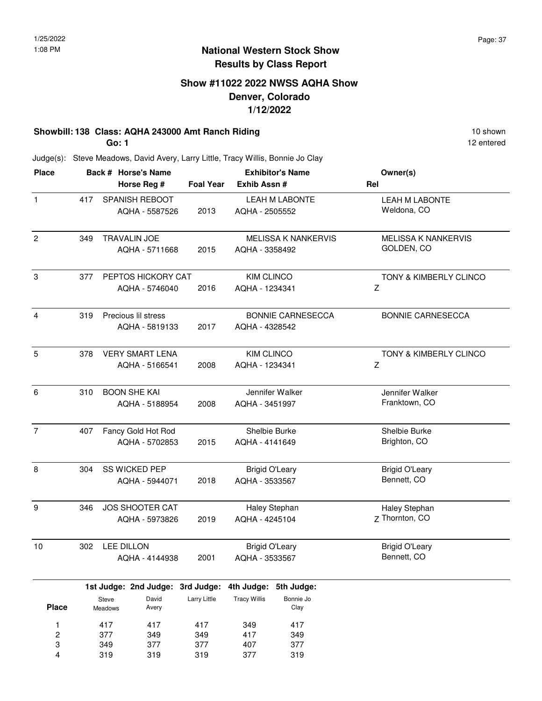# **Show #11022 2022 NWSS AQHA Show Denver, Colorado 1/12/2022**

#### **Showbill: 138 Class: AQHA 243000 Amt Ranch Riding 10 Shown 10 shown 10 shown**

**Go: 1**

12 entered

Judge(s): Steve Meadows, David Avery, Larry Little, Tracy Willis, Bonnie Jo Clay

| <b>Place</b>            |                                              |                   | Back # Horse's Name              |                                   | <b>Exhibitor's Name</b>    |                            | Owner(s)               |
|-------------------------|----------------------------------------------|-------------------|----------------------------------|-----------------------------------|----------------------------|----------------------------|------------------------|
|                         |                                              |                   | Horse Reg #                      | <b>Foal Year</b>                  | Exhib Assn #               |                            | Rel                    |
| $\mathbf{1}$            | 417                                          |                   | SPANISH REBOOT                   |                                   | <b>LEAH M LABONTE</b>      |                            | <b>LEAH M LABONTE</b>  |
|                         |                                              |                   | AQHA - 5587526                   | 2013                              | AQHA - 2505552             |                            | Weldona, CO            |
| $\overline{c}$          | <b>TRAVALIN JOE</b><br>349<br>AQHA - 5711668 |                   |                                  |                                   | <b>MELISSA K NANKERVIS</b> | <b>MELISSA K NANKERVIS</b> |                        |
|                         |                                              |                   |                                  | 2015                              | AQHA - 3358492             |                            | GOLDEN, CO             |
| 3                       | 377                                          |                   | PEPTOS HICKORY CAT               |                                   | <b>KIM CLINCO</b>          |                            | TONY & KIMBERLY CLINCO |
|                         | AQHA - 5746040                               |                   |                                  | 2016                              | AQHA - 1234341             |                            | Ζ                      |
| 4                       | Precious lil stress<br>319                   |                   |                                  |                                   | <b>BONNIE CARNESECCA</b>   | <b>BONNIE CARNESECCA</b>   |                        |
|                         |                                              |                   | AQHA - 5819133                   | 2017                              | AQHA - 4328542             |                            |                        |
| 5                       | <b>VERY SMART LENA</b><br>378                |                   |                                  |                                   | <b>KIM CLINCO</b>          |                            | TONY & KIMBERLY CLINCO |
|                         |                                              |                   | AQHA - 5166541                   | 2008                              | AQHA - 1234341             |                            | Z                      |
| 6                       | <b>BOON SHE KAI</b><br>310<br>AQHA - 5188954 |                   |                                  | Jennifer Walker<br>AQHA - 3451997 |                            | Jennifer Walker            |                        |
|                         |                                              |                   | 2008                             |                                   |                            | Franktown, CO              |                        |
| $\overline{7}$          | Fancy Gold Hot Rod<br>407                    |                   |                                  |                                   | Shelbie Burke              |                            | Shelbie Burke          |
|                         |                                              |                   | AQHA - 5702853                   | 2015                              | AQHA - 4141649             |                            | Brighton, CO           |
| 8                       | SS WICKED PEP<br>304<br>AQHA - 5944071       |                   |                                  |                                   | <b>Brigid O'Leary</b>      |                            | <b>Brigid O'Leary</b>  |
|                         |                                              |                   | 2018                             | AQHA - 3533567                    |                            | Bennett, CO                |                        |
| 9                       | 346                                          |                   | <b>JOS SHOOTER CAT</b>           |                                   | Haley Stephan              |                            | Haley Stephan          |
|                         |                                              |                   | AQHA - 5973826                   | 2019                              | AQHA - 4245104             |                            | Z Thornton, CO         |
| 10                      | 302                                          | <b>LEE DILLON</b> |                                  |                                   | <b>Brigid O'Leary</b>      |                            | <b>Brigid O'Leary</b>  |
|                         |                                              |                   | AQHA - 4144938                   | 2001                              | AQHA - 3533567             |                            | Bennett, CO            |
|                         |                                              |                   | 1st Judge: 2nd Judge: 3rd Judge: |                                   |                            | 4th Judge: 5th Judge:      |                        |
|                         | Steve                                        |                   | David                            | Larry Little                      | <b>Tracy Willis</b>        | Bonnie Jo                  |                        |
| <b>Place</b>            |                                              | Meadows           | Avery                            |                                   |                            | Clay                       |                        |
| 1                       |                                              | 417               | 417                              | 417                               | 349                        | 417                        |                        |
| $\overline{\mathbf{c}}$ |                                              | 377               | 349                              | 349                               | 417                        | 349                        |                        |
| 3                       |                                              | 349               | 377                              | 377                               | 407                        | 377                        |                        |
| 4                       |                                              | 319               | 319                              | 319                               | 377                        | 319                        |                        |